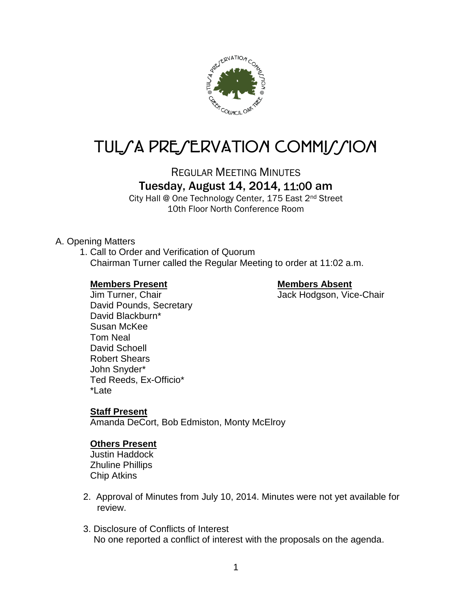

# TUL/A PRE/ERVATION COMMI*J*/ION

REGULAR MEETING MINUTES

# Tuesday, August 14, 2014, 11:00 am

City Hall @ One Technology Center, 175 East 2nd Street 10th Floor North Conference Room

#### A. Opening Matters

1. Call to Order and Verification of Quorum Chairman Turner called the Regular Meeting to order at 11:02 a.m.

#### **Members Present Members Absent**

Jim Turner, Chair **Jack Hodgson, Vice-Chair** David Pounds, Secretary David Blackburn\* Susan McKee Tom Neal David Schoell Robert Shears John Snyder\* Ted Reeds, Ex-Officio\* \*Late

#### **Staff Present**

Amanda DeCort, Bob Edmiston, Monty McElroy

#### **Others Present**

Justin Haddock Zhuline Phillips Chip Atkins

- 2. Approval of Minutes from July 10, 2014. Minutes were not yet available for review.
- 3. Disclosure of Conflicts of Interest No one reported a conflict of interest with the proposals on the agenda.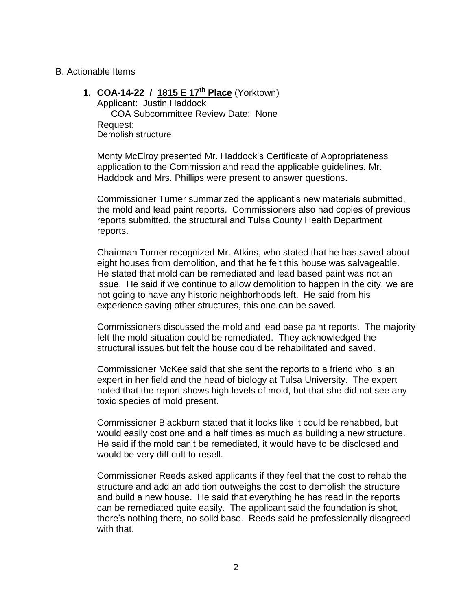#### B. Actionable Items

**1. COA-14-22 / 1815 E 17th Place** (Yorktown)

Applicant: Justin Haddock COA Subcommittee Review Date: None Request: Demolish structure

Monty McElroy presented Mr. Haddock's Certificate of Appropriateness application to the Commission and read the applicable guidelines. Mr. Haddock and Mrs. Phillips were present to answer questions.

Commissioner Turner summarized the applicant's new materials submitted, the mold and lead paint reports. Commissioners also had copies of previous reports submitted, the structural and Tulsa County Health Department reports.

Chairman Turner recognized Mr. Atkins, who stated that he has saved about eight houses from demolition, and that he felt this house was salvageable. He stated that mold can be remediated and lead based paint was not an issue. He said if we continue to allow demolition to happen in the city, we are not going to have any historic neighborhoods left. He said from his experience saving other structures, this one can be saved.

Commissioners discussed the mold and lead base paint reports. The majority felt the mold situation could be remediated. They acknowledged the structural issues but felt the house could be rehabilitated and saved.

Commissioner McKee said that she sent the reports to a friend who is an expert in her field and the head of biology at Tulsa University. The expert noted that the report shows high levels of mold, but that she did not see any toxic species of mold present.

Commissioner Blackburn stated that it looks like it could be rehabbed, but would easily cost one and a half times as much as building a new structure. He said if the mold can't be remediated, it would have to be disclosed and would be very difficult to resell.

Commissioner Reeds asked applicants if they feel that the cost to rehab the structure and add an addition outweighs the cost to demolish the structure and build a new house. He said that everything he has read in the reports can be remediated quite easily. The applicant said the foundation is shot, there's nothing there, no solid base. Reeds said he professionally disagreed with that.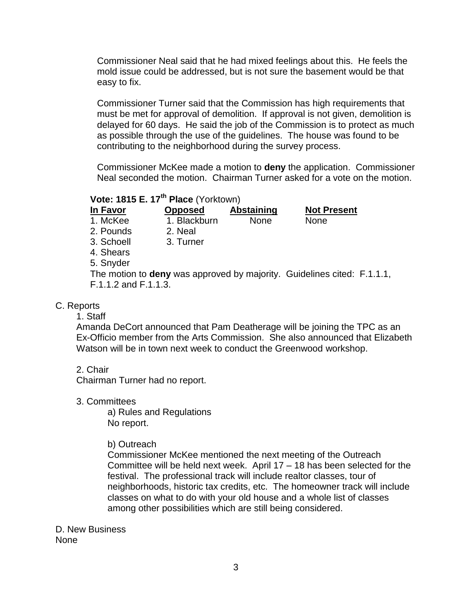Commissioner Neal said that he had mixed feelings about this. He feels the mold issue could be addressed, but is not sure the basement would be that easy to fix.

Commissioner Turner said that the Commission has high requirements that must be met for approval of demolition. If approval is not given, demolition is delayed for 60 days. He said the job of the Commission is to protect as much as possible through the use of the guidelines. The house was found to be contributing to the neighborhood during the survey process.

Commissioner McKee made a motion to **deny** the application. Commissioner Neal seconded the motion. Chairman Turner asked for a vote on the motion.

# **Vote: 1815 E. 17th Place** (Yorktown)

| ın Favor  |
|-----------|
| 1. McKee  |
| 2. Pounds |

1. Blackburn None None 2. Neal

**Opposed Abstaining Not Present** 

- 
- 3. Schoell 3. Turner
- 4. Shears
- 5. Snyder

The motion to **deny** was approved by majority. Guidelines cited: F.1.1.1, F.1.1.2 and F.1.1.3.

### C. Reports

### 1. Staff

Amanda DeCort announced that Pam Deatherage will be joining the TPC as an Ex-Officio member from the Arts Commission. She also announced that Elizabeth Watson will be in town next week to conduct the Greenwood workshop.

2. Chair

Chairman Turner had no report.

3. Committees

a) Rules and Regulations No report.

### b) Outreach

Commissioner McKee mentioned the next meeting of the Outreach Committee will be held next week. April 17 – 18 has been selected for the festival. The professional track will include realtor classes, tour of neighborhoods, historic tax credits, etc. The homeowner track will include classes on what to do with your old house and a whole list of classes among other possibilities which are still being considered.

D. New Business None